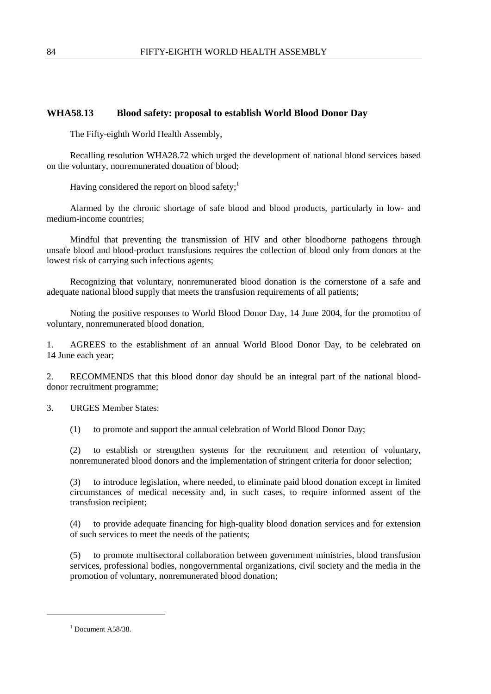## **WHA58.13 Blood safety: proposal to establish World Blood Donor Day**

The Fifty-eighth World Health Assembly,

Recalling resolution WHA28.72 which urged the development of national blood services based on the voluntary, nonremunerated donation of blood;

Having considered the report on blood safety; $<sup>1</sup>$ </sup>

Alarmed by the chronic shortage of safe blood and blood products, particularly in low- and medium-income countries;

Mindful that preventing the transmission of HIV and other bloodborne pathogens through unsafe blood and blood-product transfusions requires the collection of blood only from donors at the lowest risk of carrying such infectious agents;

Recognizing that voluntary, nonremunerated blood donation is the cornerstone of a safe and adequate national blood supply that meets the transfusion requirements of all patients;

Noting the positive responses to World Blood Donor Day, 14 June 2004, for the promotion of voluntary, nonremunerated blood donation,

1. AGREES to the establishment of an annual World Blood Donor Day, to be celebrated on 14 June each year;

2. RECOMMENDS that this blood donor day should be an integral part of the national blooddonor recruitment programme;

3. URGES Member States:

(1) to promote and support the annual celebration of World Blood Donor Day;

(2) to establish or strengthen systems for the recruitment and retention of voluntary, nonremunerated blood donors and the implementation of stringent criteria for donor selection;

(3) to introduce legislation, where needed, to eliminate paid blood donation except in limited circumstances of medical necessity and, in such cases, to require informed assent of the transfusion recipient;

(4) to provide adequate financing for high-quality blood donation services and for extension of such services to meet the needs of the patients;

(5) to promote multisectoral collaboration between government ministries, blood transfusion services, professional bodies, nongovernmental organizations, civil society and the media in the promotion of voluntary, nonremunerated blood donation;

-

 $<sup>1</sup>$  Document A58/38.</sup>